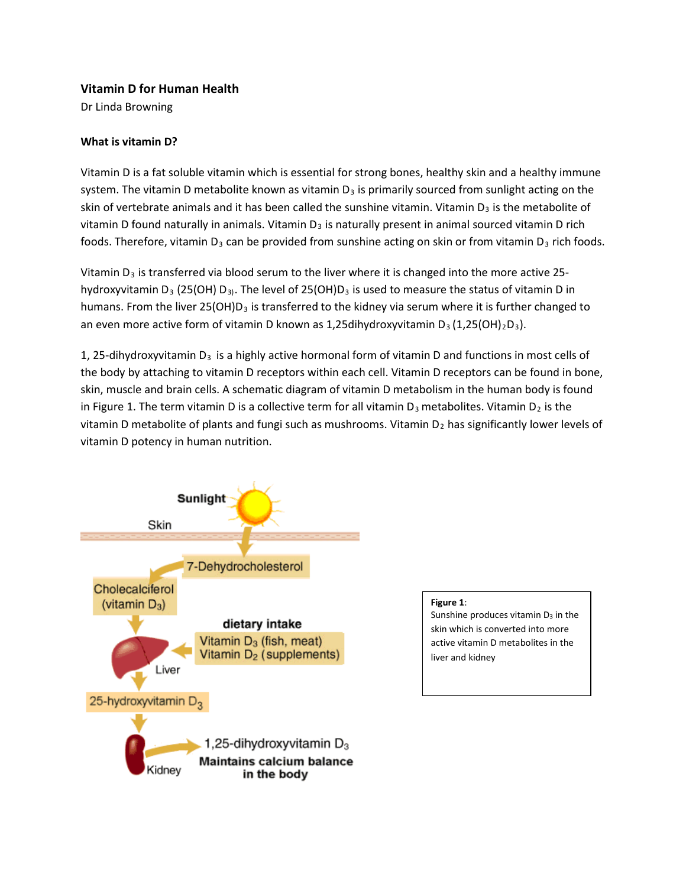## **Vitamin D for Human Health**

Dr Linda Browning

## **What is vitamin D?**

Vitamin D is a fat soluble vitamin which is essential for strong bones, healthy skin and a healthy immune system. The vitamin D metabolite known as vitamin  $D_3$  is primarily sourced from sunlight acting on the skin of vertebrate animals and it has been called the sunshine vitamin. Vitamin  $D_3$  is the metabolite of vitamin D found naturally in animals. Vitamin  $D_3$  is naturally present in animal sourced vitamin D rich foods. Therefore, vitamin  $D_3$  can be provided from sunshine acting on skin or from vitamin  $D_3$  rich foods.

Vitamin  $D_3$  is transferred via blood serum to the liver where it is changed into the more active 25hydroxyvitamin D<sub>3</sub> (25(OH) D<sub>3</sub>). The level of 25(OH)D<sub>3</sub> is used to measure the status of vitamin D in humans. From the liver  $25(OH)D<sub>3</sub>$  is transferred to the kidney via serum where it is further changed to an even more active form of vitamin D known as 1,25dihydroxyvitamin D<sub>3</sub> (1,25(OH)<sub>2</sub>D<sub>3</sub>).

1, 25-dihydroxyvitamin  $D_3$  is a highly active hormonal form of vitamin D and functions in most cells of the body by attaching to vitamin D receptors within each cell. Vitamin D receptors can be found in bone, skin, muscle and brain cells. A schematic diagram of vitamin D metabolism in the human body is found in Figure 1. The term vitamin D is a collective term for all vitamin  $D_3$  metabolites. Vitamin  $D_2$  is the vitamin D metabolite of plants and fungi such as mushrooms. Vitamin  $D_2$  has significantly lower levels of vitamin D potency in human nutrition.



#### **Figure 1**:

Sunshine produces vitamin  $D_3$  in the skin which is converted into more active vitamin D metabolites in the liver and kidney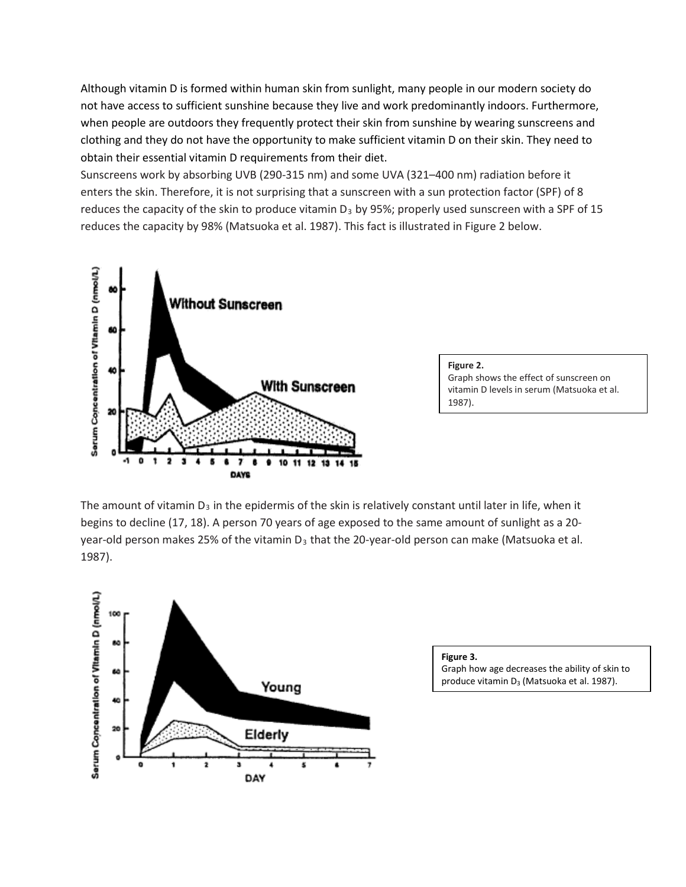Although vitamin D is formed within human skin from sunlight, many people in our modern society do not have access to sufficient sunshine because they live and work predominantly indoors. Furthermore, when people are outdoors they frequently protect their skin from sunshine by wearing sunscreens and clothing and they do not have the opportunity to make sufficient vitamin D on their skin. They need to obtain their essential vitamin D requirements from their diet.

Sunscreens work by absorbing UVB (290-315 nm) and some UVA (321–400 nm) radiation before it enters the skin. Therefore, it is not surprising that a sunscreen with a sun protection factor (SPF) of 8 reduces the capacity of the skin to produce vitamin  $D_3$  by 95%; properly used sunscreen with a SPF of 15 reduces the capacity by 98% [\(Matsuoka et al. 1987\)](#page-9-0). This fact is illustrated in Figure 2 below.



**Figure 2.**  Graph shows the effect of sunscreen on vitamin D levels in serum [\(Matsuoka et al.](#page-9-0)  [1987\)](#page-9-0).

The amount of vitamin  $D_3$  in the epidermis of the skin is relatively constant until later in life, when it begins to decline (17, 18). A person 70 years of age exposed to the same amount of sunlight as a 20 year-old person makes 25% of the vitamin  $D_3$  that the 20-year-old person can make (Matsuoka et al. [1987\)](#page-9-0).



**Figure 3.**

Graph how age decreases the ability of skin to produce vitamin D<sub>3</sub> [\(Matsuoka et al. 1987\)](#page-9-0).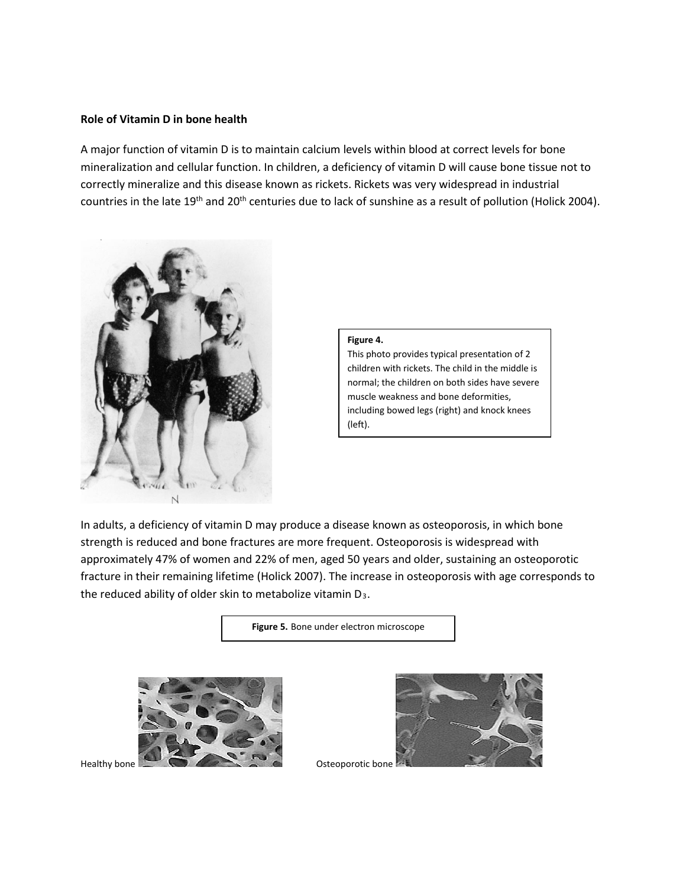## **Role of Vitamin D in bone health**

A major function of vitamin D is to maintain calcium levels within blood at correct levels for bone mineralization and cellular function. In children, a deficiency of vitamin D will cause bone tissue not to correctly mineralize and this disease known as rickets. Rickets was very widespread in industrial countries in the late 19<sup>th</sup> and 20<sup>th</sup> centuries due to lack of sunshine as a result of pollution [\(Holick 2004\)](#page-8-0).



#### **Figure 4.**

This photo provides typical presentation of 2 children with rickets. The child in the middle is normal; the children on both sides have severe muscle weakness and bone deformities, including bowed legs (right) and knock knees (left).

In adults, a deficiency of vitamin D may produce a disease known as osteoporosis, in which bone strength is reduced and bone fractures are more frequent. Osteoporosis is widespread with approximately 47% of women and 22% of men, aged 50 years and older, sustaining an osteoporotic fracture in their remaining lifetime [\(Holick 2007\)](#page-8-1). The increase in osteoporosis with age corresponds to the reduced ability of older skin to metabolize vitamin D<sub>3</sub>.

**Figure 5.** Bone under electron microscope



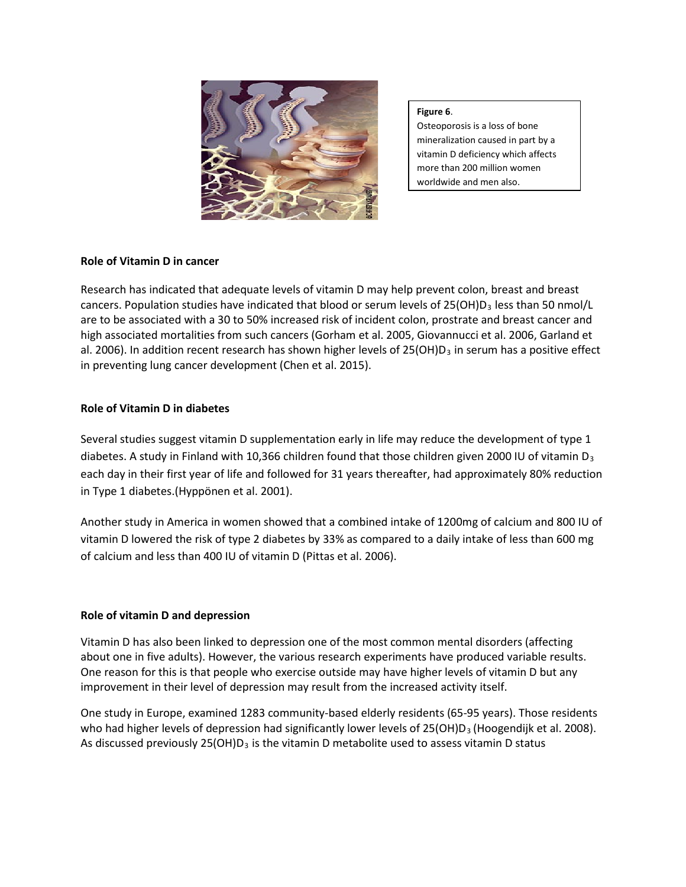

**Figure 6**.

Osteoporosis is a loss of bone mineralization caused in part by a vitamin D deficiency which affects more than 200 million women worldwide and men also.

## **Role of Vitamin D in cancer**

Research has indicated that adequate levels of vitamin D may help prevent colon, breast and breast cancers. Population studies have indicated that blood or serum levels of 25(OH)D<sub>3</sub> less than 50 nmol/L are to be associated with a 30 to 50% increased risk of incident colon, prostrate and breast cancer and high associated mortalities from such cancers [\(Gorham et al. 2005,](#page-8-2) [Giovannucci et al. 2006,](#page-8-3) [Garland et](#page-8-4)  [al. 2006\)](#page-8-4). In addition recent research has shown higher levels of  $25(OH)D<sub>3</sub>$  in serum has a positive effect in preventing lung cancer development [\(Chen et al. 2015\)](#page-8-5).

## **Role of Vitamin D in diabetes**

Several studies suggest vitamin D supplementation early in life may reduce the development of type 1 diabetes. A study in Finland with 10,366 children found that those children given 2000 IU of vitamin  $D_3$ each day in their first year of life and followed for 31 years thereafter, had approximately 80% reduction in Type 1 diabetes.[\(Hyppönen et al. 2001\)](#page-9-1).

Another study in America in women showed that a combined intake of 1200mg of calcium and 800 IU of vitamin D lowered the risk of type 2 diabetes by 33% as compared to a daily intake of less than 600 mg of calcium and less than 400 IU of vitamin D [\(Pittas et al. 2006\)](#page-9-2).

# **Role of vitamin D and depression**

Vitamin D has also been linked to depression one of the most common mental disorders (affecting about one in five adults). However, the various research experiments have produced variable results. One reason for this is that people who exercise outside may have higher levels of vitamin D but any improvement in their level of depression may result from the increased activity itself.

One study in Europe, examined 1283 community-based elderly residents (65-95 years). Those residents who had higher levels of depression had significantly lower levels of 25(OH)D<sub>3</sub> [\(Hoogendijk et al. 2008\)](#page-9-3). As discussed previously  $25(OH)D<sub>3</sub>$  is the vitamin D metabolite used to assess vitamin D status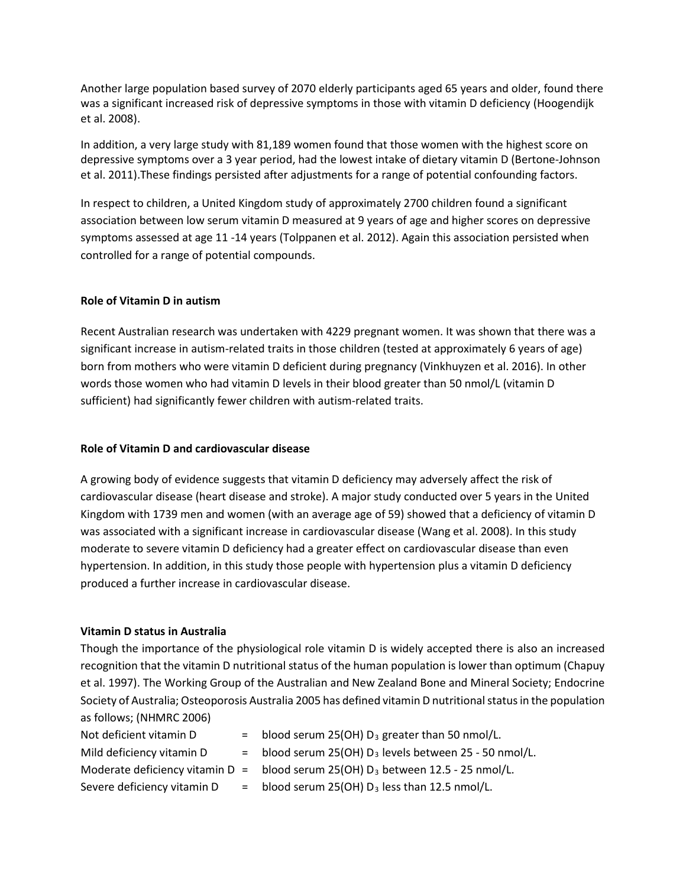Another large population based survey of 2070 elderly participants aged 65 years and older, found there was a significant increased risk of depressive symptoms in those with vitamin D deficiency [\(Hoogendijk](#page-9-3)  [et al. 2008\)](#page-9-3).

In addition, a very large study with 81,189 women found that those women with the highest score on depressive symptoms over a 3 year period, had the lowest intake of dietary vitamin D [\(Bertone-Johnson](#page-8-6)  [et al. 2011\)](#page-8-6).These findings persisted after adjustments for a range of potential confounding factors.

In respect to children, a United Kingdom study of approximately 2700 children found a significant association between low serum vitamin D measured at 9 years of age and higher scores on depressive symptoms assessed at age 11 -14 years [\(Tolppanen et al. 2012\)](#page-9-4). Again this association persisted when controlled for a range of potential compounds.

### **Role of Vitamin D in autism**

Recent Australian research was undertaken with 4229 pregnant women. It was shown that there was a significant increase in autism-related traits in those children (tested at approximately 6 years of age) born from mothers who were vitamin D deficient during pregnancy [\(Vinkhuyzen et al. 2016\)](#page-9-5). In other words those women who had vitamin D levels in their blood greater than 50 nmol/L (vitamin D sufficient) had significantly fewer children with autism-related traits.

### **Role of Vitamin D and cardiovascular disease**

A growing body of evidence suggests that vitamin D deficiency may adversely affect the risk of cardiovascular disease (heart disease and stroke). A major study conducted over 5 years in the United Kingdom with 1739 men and women (with an average age of 59) showed that a deficiency of vitamin D was associated with a significant increase in cardiovascular disease [\(Wang et al. 2008\)](#page-9-6). In this study moderate to severe vitamin D deficiency had a greater effect on cardiovascular disease than even hypertension. In addition, in this study those people with hypertension plus a vitamin D deficiency produced a further increase in cardiovascular disease.

### **Vitamin D status in Australia**

Though the importance of the physiological role vitamin D is widely accepted there is also an increased recognition that the vitamin D nutritional status of the human population is lower than optimum [\(Chapuy](#page-8-7)  [et al. 1997\)](#page-8-7). The Working Group of the Australian and New Zealand Bone and Mineral Society; Endocrine Society of Australia; Osteoporosis Australia 2005 has defined vitamin D nutritional status in the population as follows; [\(NHMRC 2006\)](#page-9-7)

| Not deficient vitamin D     | = blood serum 25(OH) $D_3$ greater than 50 nmol/L.                                 |
|-----------------------------|------------------------------------------------------------------------------------|
| Mild deficiency vitamin D   | $=$ blood serum 25(OH) $D_3$ levels between 25 - 50 nmol/L.                        |
|                             | Moderate deficiency vitamin D = blood serum 25(OH) $D_3$ between 12.5 - 25 nmol/L. |
| Severe deficiency vitamin D | $=$ blood serum 25(OH) $D_3$ less than 12.5 nmol/L.                                |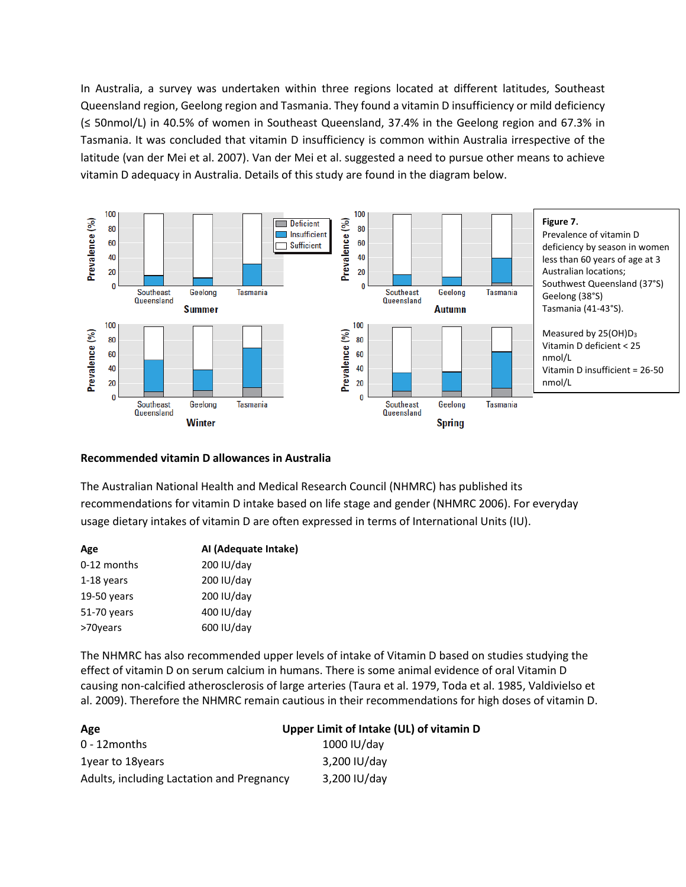In Australia, a survey was undertaken within three regions located at different latitudes, Southeast Queensland region, Geelong region and Tasmania. They found a vitamin D insufficiency or mild deficiency (≤ 50nmol/L) in 40.5% of women in Southeast Queensland, 37.4% in the Geelong region and 67.3% in Tasmania. It was concluded that vitamin D insufficiency is common within Australia irrespective of the latitude [\(van der Mei et al. 2007\)](#page-9-8). Van der Mei et al. suggested a need to pursue other means to achieve vitamin D adequacy in Australia. Details of this study are found in the diagram below.



#### **Recommended vitamin D allowances in Australia**

The Australian National Health and Medical Research Council (NHMRC) has published its recommendations for vitamin D intake based on life stage and gender [\(NHMRC 2006\)](#page-9-7). For everyday usage dietary intakes of vitamin D are often expressed in terms of International Units (IU).

| Age         | Al (Adequate Intake) |  |  |
|-------------|----------------------|--|--|
| 0-12 months | 200 IU/day           |  |  |
| 1-18 years  | 200 IU/day           |  |  |
| 19-50 years | 200 IU/day           |  |  |
| 51-70 years | 400 IU/day           |  |  |
| >70years    | 600 IU/day           |  |  |
|             |                      |  |  |

The NHMRC has also recommended upper levels of intake of Vitamin D based on studies studying the effect of vitamin D on serum calcium in humans. There is some animal evidence of oral Vitamin D causing non-calcified atherosclerosis of large arteries [\(Taura et al. 1979,](#page-9-9) [Toda et al. 1985,](#page-9-10) [Valdivielso et](#page-9-11)  [al. 2009\)](#page-9-11). Therefore the NHMRC remain cautious in their recommendations for high doses of vitamin D.

| Age                                       | Upper Limit of Intake (UL) of vitamin D |  |  |  |
|-------------------------------------------|-----------------------------------------|--|--|--|
| $0 - 12$ months                           | 1000 IU/day                             |  |  |  |
| 1 vear to 18 years                        | 3,200 IU/day                            |  |  |  |
| Adults, including Lactation and Pregnancy | 3,200 IU/day                            |  |  |  |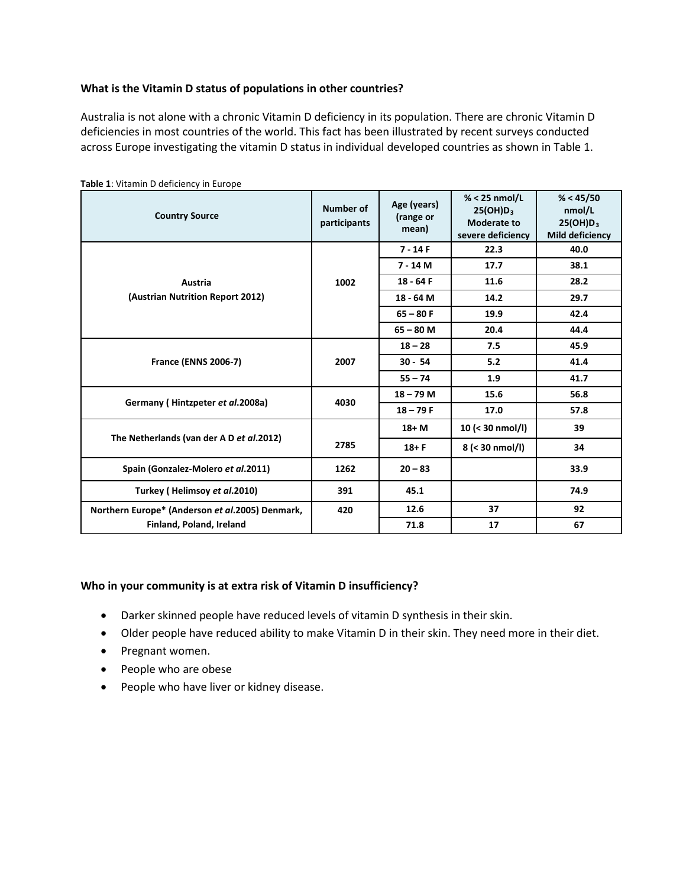## **What is the Vitamin D status of populations in other countries?**

Australia is not alone with a chronic Vitamin D deficiency in its population. There are chronic Vitamin D deficiencies in most countries of the world. This fact has been illustrated by recent surveys conducted across Europe investigating the vitamin D status in individual developed countries as shown in Table 1.

| <b>Table 1.</b> Vitamin D dentities in Lui Ope<br><b>Country Source</b> | <b>Number of</b><br>participants | Age (years)<br>(range or<br>mean) | $% < 25$ nmol/L<br>$25(OH)D_3$<br>Moderate to<br>severe deficiency | % < 45/50<br>nmol/L<br>$25(OH)D_3$<br><b>Mild deficiency</b> |
|-------------------------------------------------------------------------|----------------------------------|-----------------------------------|--------------------------------------------------------------------|--------------------------------------------------------------|
|                                                                         | 1002                             | $7 - 14F$                         | 22.3                                                               | 40.0                                                         |
|                                                                         |                                  | $7 - 14 M$                        | 17.7                                                               | 38.1                                                         |
| Austria                                                                 |                                  | $18 - 64F$                        | 11.6                                                               | 28.2                                                         |
| (Austrian Nutrition Report 2012)                                        |                                  | 18 - 64 M                         | 14.2                                                               | 29.7                                                         |
|                                                                         |                                  | $65 - 80 F$                       | 19.9                                                               | 42.4                                                         |
|                                                                         |                                  | $65 - 80$ M                       | 20.4                                                               | 44.4                                                         |
|                                                                         | 2007                             | $18 - 28$                         | 7.5                                                                | 45.9                                                         |
| <b>France (ENNS 2006-7)</b>                                             |                                  | $30 - 54$                         | 5.2                                                                | 41.4                                                         |
|                                                                         |                                  | $55 - 74$                         | 1.9                                                                | 41.7                                                         |
| Germany (Hintzpeter et al.2008a)                                        | 4030                             | $18 - 79$ M                       | 15.6                                                               | 56.8                                                         |
|                                                                         |                                  | $18 - 79F$                        | 17.0                                                               | 57.8                                                         |
| The Netherlands (van der A D et al.2012)                                |                                  | $18+M$                            | 10 (< 30 nmol/l)                                                   | 39                                                           |
|                                                                         | 2785                             | $18 + F$                          | 8 (< 30 nmol/l)                                                    | 34                                                           |
| Spain (Gonzalez-Molero et al.2011)                                      | 1262                             | $20 - 83$                         |                                                                    | 33.9                                                         |
| Turkey (Helimsoy et al.2010)                                            | 391                              | 45.1                              |                                                                    | 74.9                                                         |
| Northern Europe* (Anderson et al.2005) Denmark,                         | 420                              | 12.6                              | 37                                                                 | 92                                                           |
| Finland, Poland, Ireland                                                |                                  | 71.8                              | 17                                                                 | 67                                                           |

**Table 1**: Vitamin D deficiency in Europe

### **Who in your community is at extra risk of Vitamin D insufficiency?**

- Darker skinned people have reduced levels of vitamin D synthesis in their skin.
- Older people have reduced ability to make Vitamin D in their skin. They need more in their diet.
- Pregnant women.
- People who are obese
- People who have liver or kidney disease.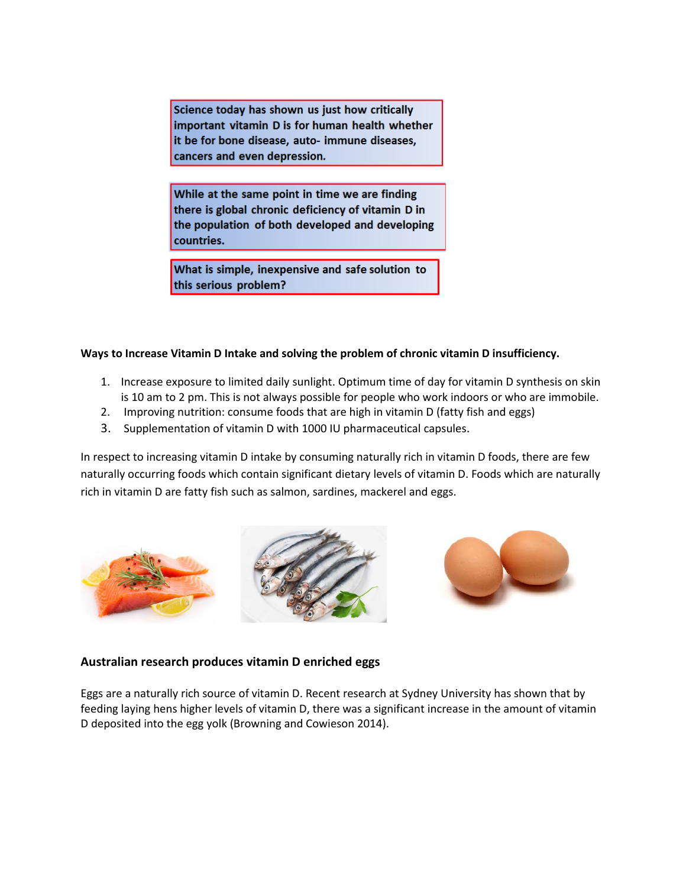Science today has shown us just how critically important vitamin D is for human health whether it be for bone disease, auto- immune diseases, cancers and even depression.

While at the same point in time we are finding there is global chronic deficiency of vitamin D in the population of both developed and developing countries.

What is simple, inexpensive and safe solution to this serious problem?

### **Ways to Increase Vitamin D Intake and solving the problem of chronic vitamin D insufficiency.**

- 1. Increase exposure to limited daily sunlight. Optimum time of day for vitamin D synthesis on skin is 10 am to 2 pm. This is not always possible for people who work indoors or who are immobile.
- 2. Improving nutrition: consume foods that are high in vitamin D (fatty fish and eggs)
- 3. Supplementation of vitamin D with 1000 IU pharmaceutical capsules.

In respect to increasing vitamin D intake by consuming naturally rich in vitamin D foods, there are few naturally occurring foods which contain significant dietary levels of vitamin D. Foods which are naturally rich in vitamin D are fatty fish such as salmon, sardines, mackerel and eggs.





### **Australian research produces vitamin D enriched eggs**

Eggs are a naturally rich source of vitamin D. Recent research at Sydney University has shown that by feeding laying hens higher levels of vitamin D, there was a significant increase in the amount of vitamin D deposited into the egg yolk [\(Browning and Cowieson 2014\)](#page-8-8).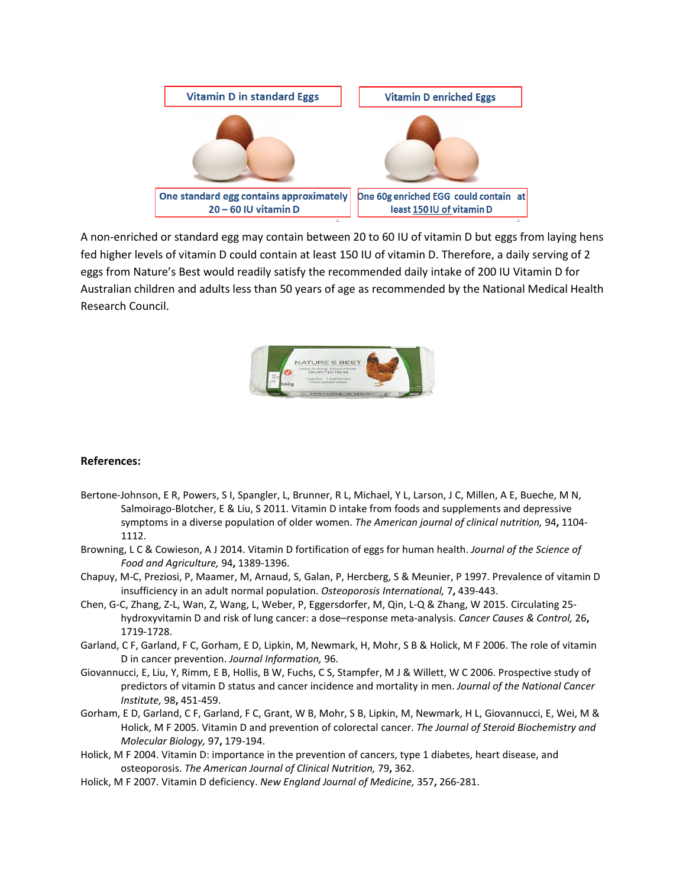

A non-enriched or standard egg may contain between 20 to 60 IU of vitamin D but eggs from laying hens fed higher levels of vitamin D could contain at least 150 IU of vitamin D. Therefore, a daily serving of 2 eggs from Nature's Best would readily satisfy the recommended daily intake of 200 IU Vitamin D for Australian children and adults less than 50 years of age as recommended by the National Medical Health Research Council.



### **References:**

- <span id="page-8-6"></span>Bertone-Johnson, E R, Powers, S I, Spangler, L, Brunner, R L, Michael, Y L, Larson, J C, Millen, A E, Bueche, M N, Salmoirago-Blotcher, E & Liu, S 2011. Vitamin D intake from foods and supplements and depressive symptoms in a diverse population of older women. *The American journal of clinical nutrition,* 94**,** 1104- 1112.
- <span id="page-8-8"></span>Browning, L C & Cowieson, A J 2014. Vitamin D fortification of eggs for human health. *Journal of the Science of Food and Agriculture,* 94**,** 1389-1396.
- <span id="page-8-7"></span>Chapuy, M-C, Preziosi, P, Maamer, M, Arnaud, S, Galan, P, Hercberg, S & Meunier, P 1997. Prevalence of vitamin D insufficiency in an adult normal population. *Osteoporosis International,* 7**,** 439-443.
- <span id="page-8-5"></span>Chen, G-C, Zhang, Z-L, Wan, Z, Wang, L, Weber, P, Eggersdorfer, M, Qin, L-Q & Zhang, W 2015. Circulating 25 hydroxyvitamin D and risk of lung cancer: a dose–response meta-analysis. *Cancer Causes & Control,* 26**,** 1719-1728.
- <span id="page-8-4"></span>Garland, C F, Garland, F C, Gorham, E D, Lipkin, M, Newmark, H, Mohr, S B & Holick, M F 2006. The role of vitamin D in cancer prevention. *Journal Information,* 96.
- <span id="page-8-3"></span>Giovannucci, E, Liu, Y, Rimm, E B, Hollis, B W, Fuchs, C S, Stampfer, M J & Willett, W C 2006. Prospective study of predictors of vitamin D status and cancer incidence and mortality in men. *Journal of the National Cancer Institute,* 98**,** 451-459.
- <span id="page-8-2"></span>Gorham, E D, Garland, C F, Garland, F C, Grant, W B, Mohr, S B, Lipkin, M, Newmark, H L, Giovannucci, E, Wei, M & Holick, M F 2005. Vitamin D and prevention of colorectal cancer. *The Journal of Steroid Biochemistry and Molecular Biology,* 97**,** 179-194.
- <span id="page-8-0"></span>Holick, M F 2004. Vitamin D: importance in the prevention of cancers, type 1 diabetes, heart disease, and osteoporosis. *The American Journal of Clinical Nutrition,* 79**,** 362.
- <span id="page-8-1"></span>Holick, M F 2007. Vitamin D deficiency. *New England Journal of Medicine,* 357**,** 266-281.